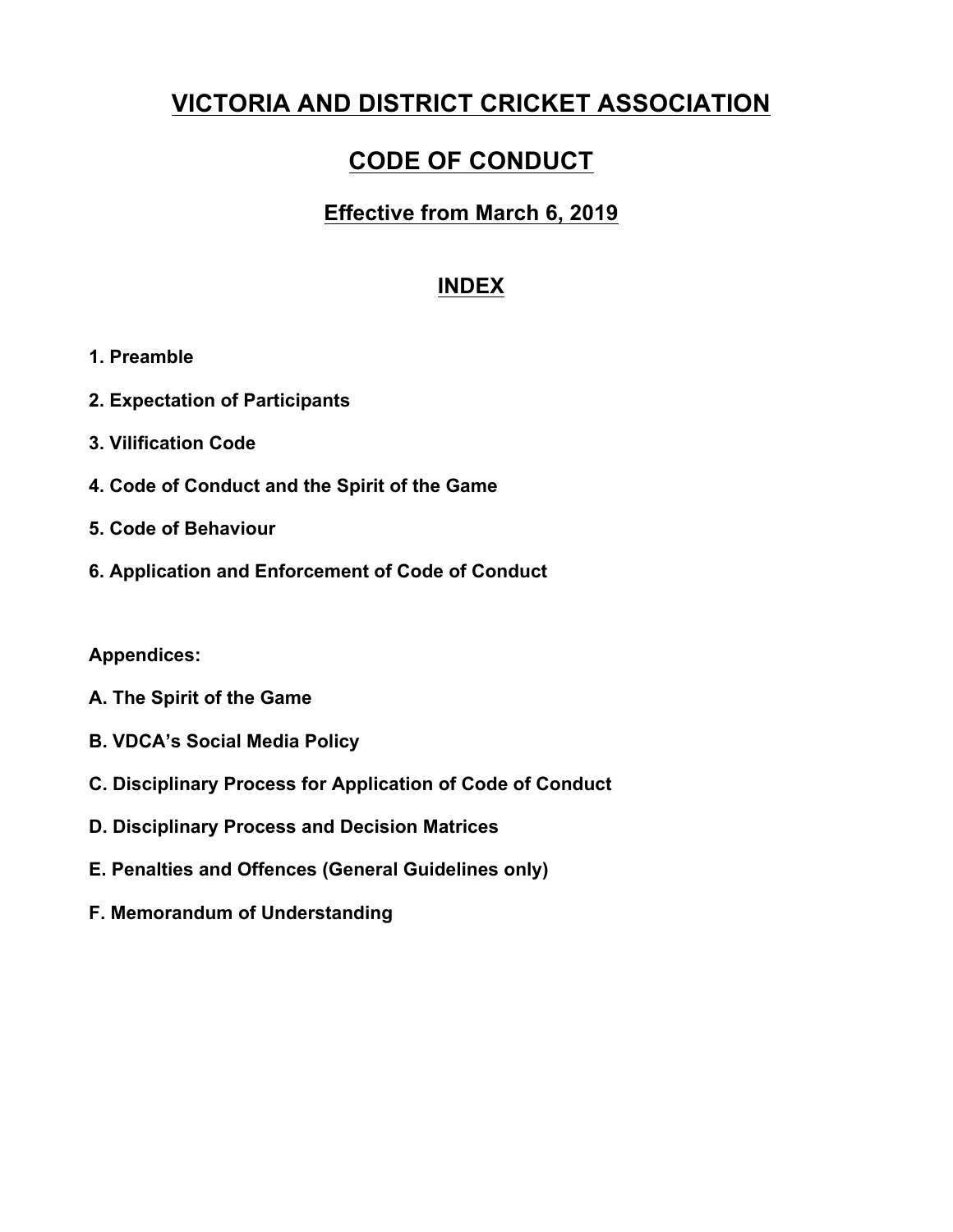# **VICTORIA AND DISTRICT CRICKET ASSOCIATION**

# **CODE OF CONDUCT**

# **Effective from March 6, 2019**

# **INDEX**

- **1. Preamble**
- **2. Expectation of Participants**
- **3. Vilification Code**
- **4. Code of Conduct and the Spirit of the Game**
- **5. Code of Behaviour**
- **6. Application and Enforcement of Code of Conduct**

## **Appendices:**

- **A. The Spirit of the Game**
- **B. VDCA's Social Media Policy**
- **C. Disciplinary Process for Application of Code of Conduct**
- **D. Disciplinary Process and Decision Matrices**
- **E. Penalties and Offences (General Guidelines only)**
- **F. Memorandum of Understanding**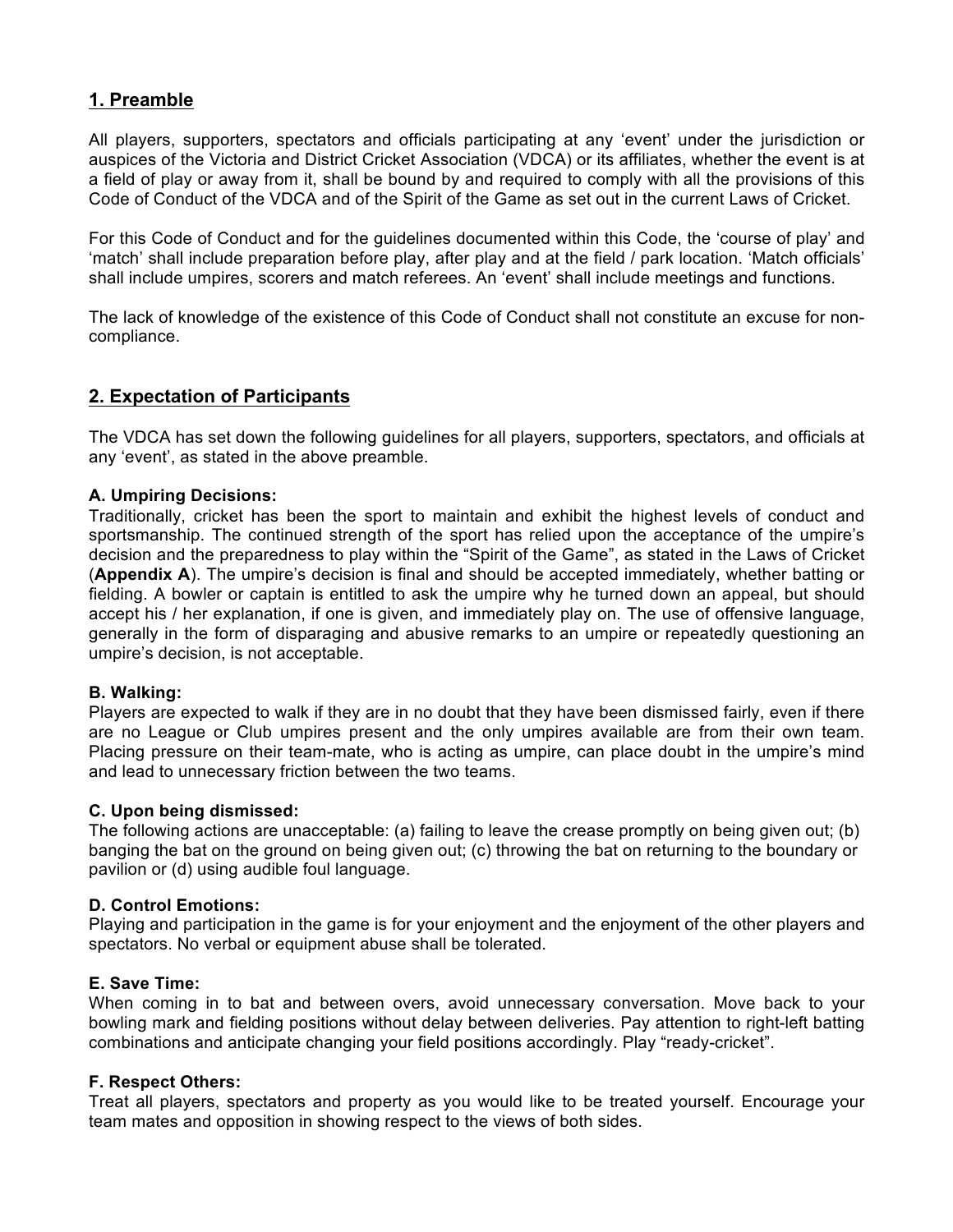## **1. Preamble**

All players, supporters, spectators and officials participating at any 'event' under the jurisdiction or auspices of the Victoria and District Cricket Association (VDCA) or its affiliates, whether the event is at a field of play or away from it, shall be bound by and required to comply with all the provisions of this Code of Conduct of the VDCA and of the Spirit of the Game as set out in the current Laws of Cricket.

For this Code of Conduct and for the guidelines documented within this Code, the 'course of play' and 'match' shall include preparation before play, after play and at the field / park location. 'Match officials' shall include umpires, scorers and match referees. An 'event' shall include meetings and functions.

The lack of knowledge of the existence of this Code of Conduct shall not constitute an excuse for noncompliance.

## **2. Expectation of Participants**

The VDCA has set down the following guidelines for all players, supporters, spectators, and officials at any 'event', as stated in the above preamble.

#### **A. Umpiring Decisions:**

Traditionally, cricket has been the sport to maintain and exhibit the highest levels of conduct and sportsmanship. The continued strength of the sport has relied upon the acceptance of the umpire's decision and the preparedness to play within the "Spirit of the Game", as stated in the Laws of Cricket (**Appendix A**). The umpire's decision is final and should be accepted immediately, whether batting or fielding. A bowler or captain is entitled to ask the umpire why he turned down an appeal, but should accept his / her explanation, if one is given, and immediately play on. The use of offensive language, generally in the form of disparaging and abusive remarks to an umpire or repeatedly questioning an umpire's decision, is not acceptable.

#### **B. Walking:**

Players are expected to walk if they are in no doubt that they have been dismissed fairly, even if there are no League or Club umpires present and the only umpires available are from their own team. Placing pressure on their team-mate, who is acting as umpire, can place doubt in the umpire's mind and lead to unnecessary friction between the two teams.

#### **C. Upon being dismissed:**

The following actions are unacceptable: (a) failing to leave the crease promptly on being given out; (b) banging the bat on the ground on being given out; (c) throwing the bat on returning to the boundary or pavilion or (d) using audible foul language.

#### **D. Control Emotions:**

Playing and participation in the game is for your enjoyment and the enjoyment of the other players and spectators. No verbal or equipment abuse shall be tolerated.

#### **E. Save Time:**

When coming in to bat and between overs, avoid unnecessary conversation. Move back to your bowling mark and fielding positions without delay between deliveries. Pay attention to right-left batting combinations and anticipate changing your field positions accordingly. Play "ready-cricket".

#### **F. Respect Others:**

Treat all players, spectators and property as you would like to be treated yourself. Encourage your team mates and opposition in showing respect to the views of both sides.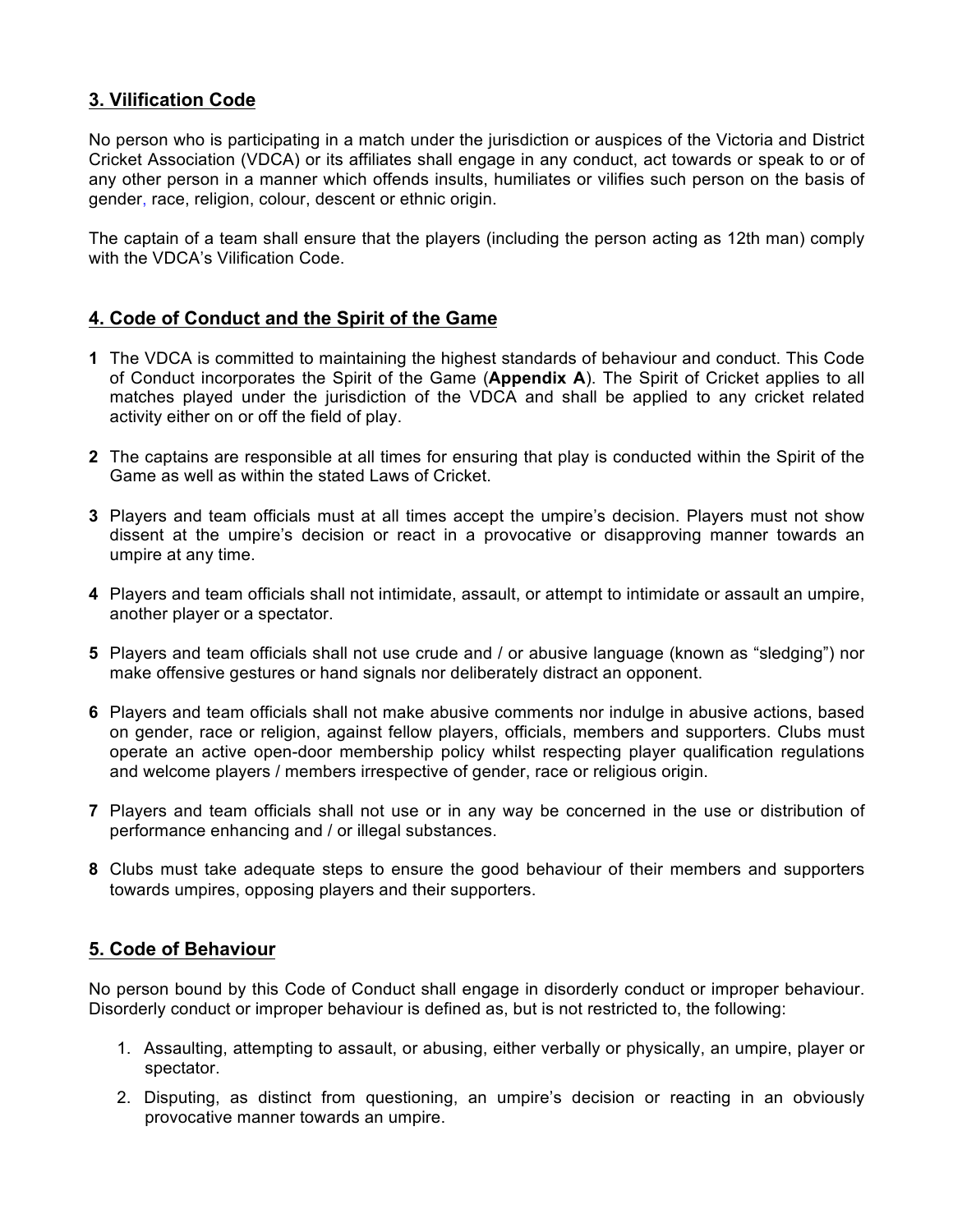## **3. Vilification Code**

No person who is participating in a match under the jurisdiction or auspices of the Victoria and District Cricket Association (VDCA) or its affiliates shall engage in any conduct, act towards or speak to or of any other person in a manner which offends insults, humiliates or vilifies such person on the basis of gender, race, religion, colour, descent or ethnic origin.

The captain of a team shall ensure that the players (including the person acting as 12th man) comply with the VDCA's Vilification Code.

## **4. Code of Conduct and the Spirit of the Game**

- **1** The VDCA is committed to maintaining the highest standards of behaviour and conduct. This Code of Conduct incorporates the Spirit of the Game (**Appendix A**). The Spirit of Cricket applies to all matches played under the jurisdiction of the VDCA and shall be applied to any cricket related activity either on or off the field of play.
- **2** The captains are responsible at all times for ensuring that play is conducted within the Spirit of the Game as well as within the stated Laws of Cricket.
- **3** Players and team officials must at all times accept the umpire's decision. Players must not show dissent at the umpire's decision or react in a provocative or disapproving manner towards an umpire at any time.
- **4** Players and team officials shall not intimidate, assault, or attempt to intimidate or assault an umpire, another player or a spectator.
- **5** Players and team officials shall not use crude and / or abusive language (known as "sledging") nor make offensive gestures or hand signals nor deliberately distract an opponent.
- **6** Players and team officials shall not make abusive comments nor indulge in abusive actions, based on gender, race or religion, against fellow players, officials, members and supporters. Clubs must operate an active open-door membership policy whilst respecting player qualification regulations and welcome players / members irrespective of gender, race or religious origin.
- **7** Players and team officials shall not use or in any way be concerned in the use or distribution of performance enhancing and / or illegal substances.
- **8** Clubs must take adequate steps to ensure the good behaviour of their members and supporters towards umpires, opposing players and their supporters.

## **5. Code of Behaviour**

No person bound by this Code of Conduct shall engage in disorderly conduct or improper behaviour. Disorderly conduct or improper behaviour is defined as, but is not restricted to, the following:

- 1. Assaulting, attempting to assault, or abusing, either verbally or physically, an umpire, player or spectator.
- 2. Disputing, as distinct from questioning, an umpire's decision or reacting in an obviously provocative manner towards an umpire.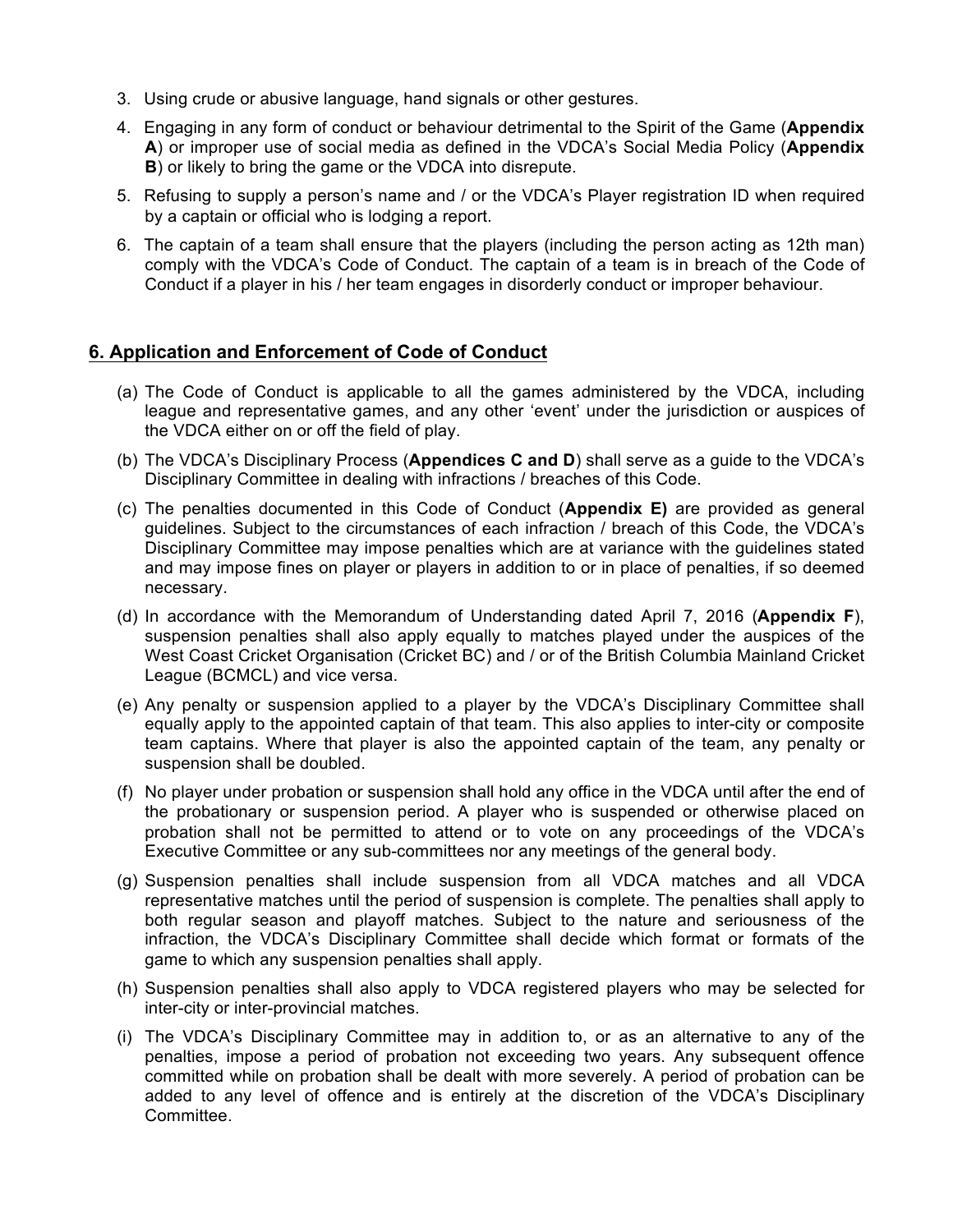- 3. Using crude or abusive language, hand signals or other gestures.
- 4. Engaging in any form of conduct or behaviour detrimental to the Spirit of the Game (**Appendix A**) or improper use of social media as defined in the VDCA's Social Media Policy (**Appendix B**) or likely to bring the game or the VDCA into disrepute.
- 5. Refusing to supply a person's name and / or the VDCA's Player registration ID when required by a captain or official who is lodging a report.
- 6. The captain of a team shall ensure that the players (including the person acting as 12th man) comply with the VDCA's Code of Conduct. The captain of a team is in breach of the Code of Conduct if a player in his / her team engages in disorderly conduct or improper behaviour.

## **6. Application and Enforcement of Code of Conduct**

- (a) The Code of Conduct is applicable to all the games administered by the VDCA, including league and representative games, and any other 'event' under the jurisdiction or auspices of the VDCA either on or off the field of play.
- (b) The VDCA's Disciplinary Process (**Appendices C and D**) shall serve as a guide to the VDCA's Disciplinary Committee in dealing with infractions / breaches of this Code.
- (c) The penalties documented in this Code of Conduct (**Appendix E)** are provided as general guidelines. Subject to the circumstances of each infraction / breach of this Code, the VDCA's Disciplinary Committee may impose penalties which are at variance with the guidelines stated and may impose fines on player or players in addition to or in place of penalties, if so deemed necessary.
- (d) In accordance with the Memorandum of Understanding dated April 7, 2016 (**Appendix F**), suspension penalties shall also apply equally to matches played under the auspices of the West Coast Cricket Organisation (Cricket BC) and / or of the British Columbia Mainland Cricket League (BCMCL) and vice versa.
- (e) Any penalty or suspension applied to a player by the VDCA's Disciplinary Committee shall equally apply to the appointed captain of that team. This also applies to inter-city or composite team captains. Where that player is also the appointed captain of the team, any penalty or suspension shall be doubled.
- (f) No player under probation or suspension shall hold any office in the VDCA until after the end of the probationary or suspension period. A player who is suspended or otherwise placed on probation shall not be permitted to attend or to vote on any proceedings of the VDCA's Executive Committee or any sub-committees nor any meetings of the general body.
- (g) Suspension penalties shall include suspension from all VDCA matches and all VDCA representative matches until the period of suspension is complete. The penalties shall apply to both regular season and playoff matches. Subject to the nature and seriousness of the infraction, the VDCA's Disciplinary Committee shall decide which format or formats of the game to which any suspension penalties shall apply.
- (h) Suspension penalties shall also apply to VDCA registered players who may be selected for inter-city or inter-provincial matches.
- (i) The VDCA's Disciplinary Committee may in addition to, or as an alternative to any of the penalties, impose a period of probation not exceeding two years. Any subsequent offence committed while on probation shall be dealt with more severely. A period of probation can be added to any level of offence and is entirely at the discretion of the VDCA's Disciplinary Committee.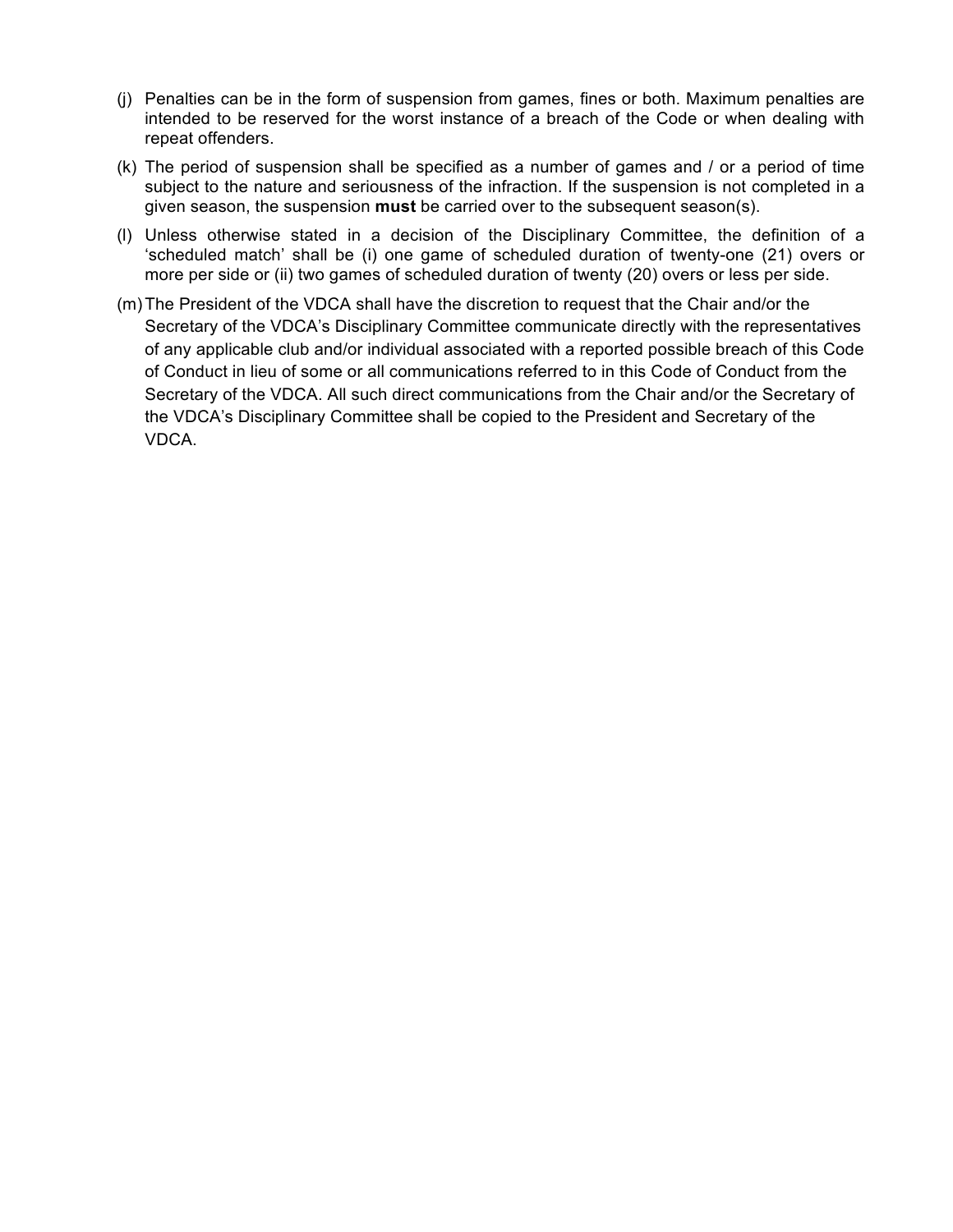- (j) Penalties can be in the form of suspension from games, fines or both. Maximum penalties are intended to be reserved for the worst instance of a breach of the Code or when dealing with repeat offenders.
- (k) The period of suspension shall be specified as a number of games and / or a period of time subject to the nature and seriousness of the infraction. If the suspension is not completed in a given season, the suspension **must** be carried over to the subsequent season(s).
- (l) Unless otherwise stated in a decision of the Disciplinary Committee, the definition of a 'scheduled match' shall be (i) one game of scheduled duration of twenty-one (21) overs or more per side or (ii) two games of scheduled duration of twenty (20) overs or less per side.
- (m)The President of the VDCA shall have the discretion to request that the Chair and/or the Secretary of the VDCA's Disciplinary Committee communicate directly with the representatives of any applicable club and/or individual associated with a reported possible breach of this Code of Conduct in lieu of some or all communications referred to in this Code of Conduct from the Secretary of the VDCA. All such direct communications from the Chair and/or the Secretary of the VDCA's Disciplinary Committee shall be copied to the President and Secretary of the VDCA.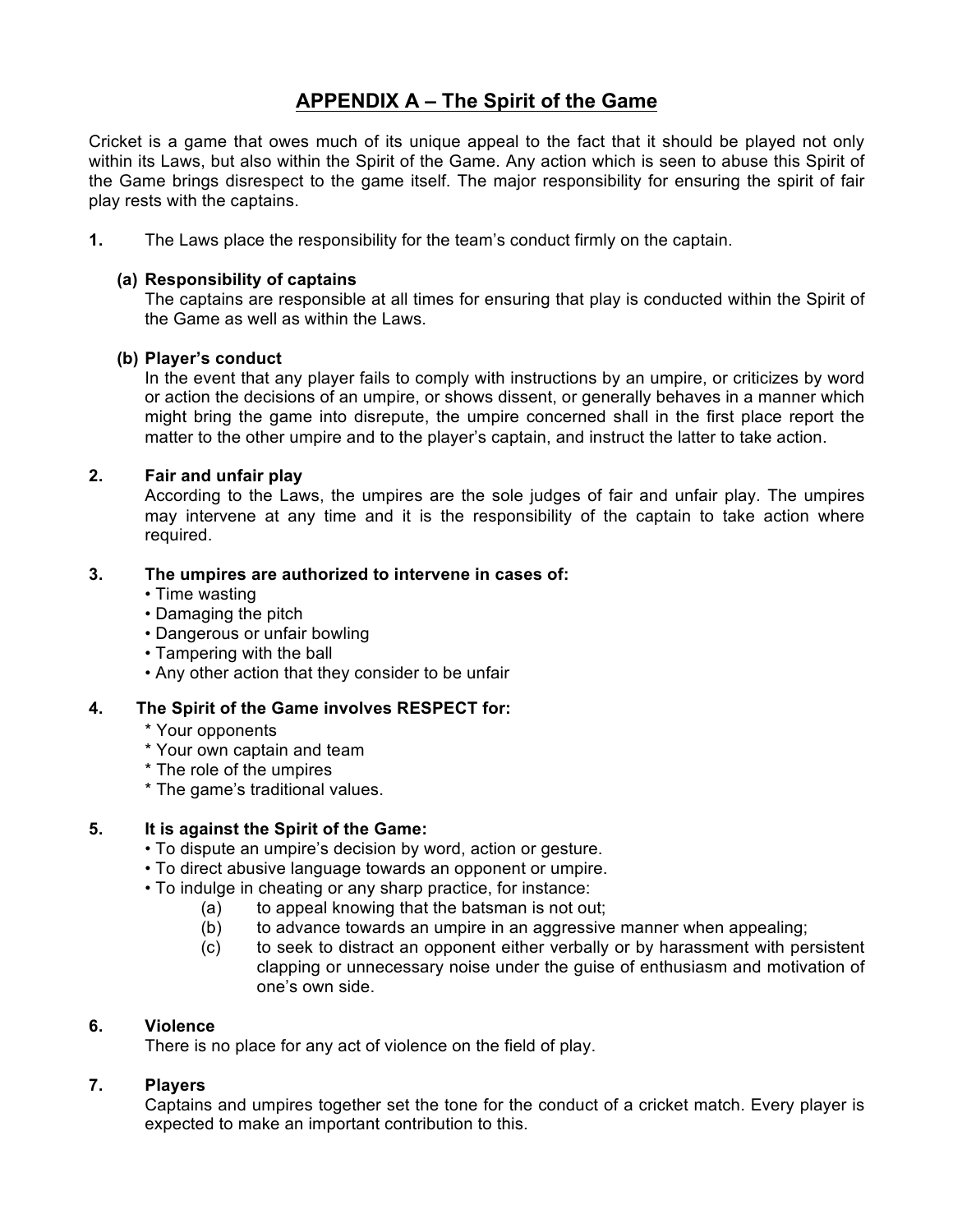## **APPENDIX A – The Spirit of the Game**

Cricket is a game that owes much of its unique appeal to the fact that it should be played not only within its Laws, but also within the Spirit of the Game. Any action which is seen to abuse this Spirit of the Game brings disrespect to the game itself. The major responsibility for ensuring the spirit of fair play rests with the captains.

**1.** The Laws place the responsibility for the team's conduct firmly on the captain.

#### **(a) Responsibility of captains**

The captains are responsible at all times for ensuring that play is conducted within the Spirit of the Game as well as within the Laws.

#### **(b) Player's conduct**

In the event that any player fails to comply with instructions by an umpire, or criticizes by word or action the decisions of an umpire, or shows dissent, or generally behaves in a manner which might bring the game into disrepute, the umpire concerned shall in the first place report the matter to the other umpire and to the player's captain, and instruct the latter to take action.

#### **2. Fair and unfair play**

According to the Laws, the umpires are the sole judges of fair and unfair play. The umpires may intervene at any time and it is the responsibility of the captain to take action where required.

#### **3. The umpires are authorized to intervene in cases of:**

- Time wasting
- Damaging the pitch
- Dangerous or unfair bowling
- Tampering with the ball
- Any other action that they consider to be unfair

### **4. The Spirit of the Game involves RESPECT for:**

- \* Your opponents
- \* Your own captain and team
- \* The role of the umpires
- \* The game's traditional values.

### **5. It is against the Spirit of the Game:**

- To dispute an umpire's decision by word, action or gesture.
- To direct abusive language towards an opponent or umpire.
- To indulge in cheating or any sharp practice, for instance:
	- (a) to appeal knowing that the batsman is not out;
	- (b) to advance towards an umpire in an aggressive manner when appealing;
	- (c) to seek to distract an opponent either verbally or by harassment with persistent clapping or unnecessary noise under the guise of enthusiasm and motivation of one's own side.

### **6. Violence**

There is no place for any act of violence on the field of play.

### **7. Players**

Captains and umpires together set the tone for the conduct of a cricket match. Every player is expected to make an important contribution to this.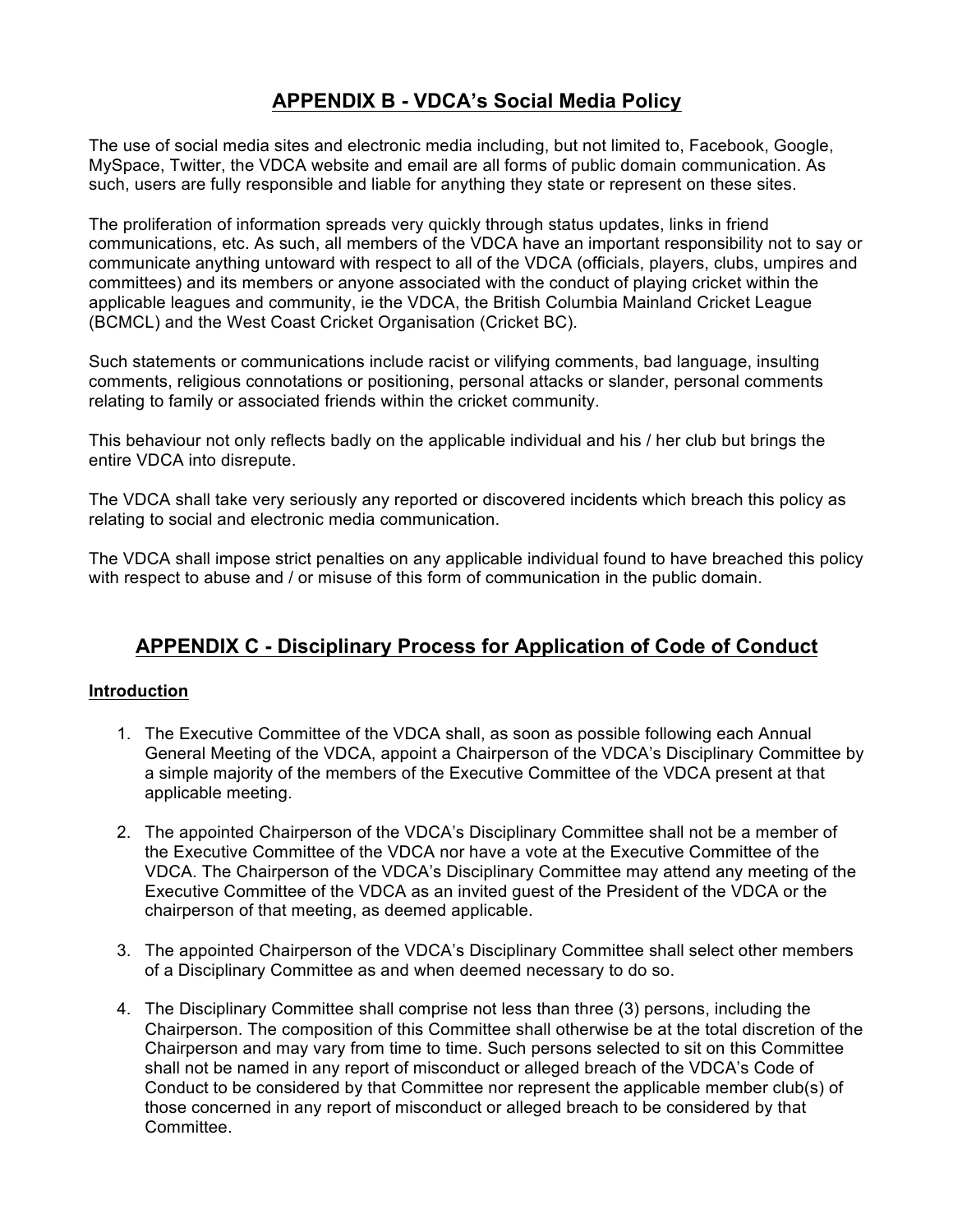# **APPENDIX B - VDCA's Social Media Policy**

The use of social media sites and electronic media including, but not limited to, Facebook, Google, MySpace, Twitter, the VDCA website and email are all forms of public domain communication. As such, users are fully responsible and liable for anything they state or represent on these sites.

The proliferation of information spreads very quickly through status updates, links in friend communications, etc. As such, all members of the VDCA have an important responsibility not to say or communicate anything untoward with respect to all of the VDCA (officials, players, clubs, umpires and committees) and its members or anyone associated with the conduct of playing cricket within the applicable leagues and community, ie the VDCA, the British Columbia Mainland Cricket League (BCMCL) and the West Coast Cricket Organisation (Cricket BC).

Such statements or communications include racist or vilifying comments, bad language, insulting comments, religious connotations or positioning, personal attacks or slander, personal comments relating to family or associated friends within the cricket community.

This behaviour not only reflects badly on the applicable individual and his / her club but brings the entire VDCA into disrepute.

The VDCA shall take very seriously any reported or discovered incidents which breach this policy as relating to social and electronic media communication.

The VDCA shall impose strict penalties on any applicable individual found to have breached this policy with respect to abuse and / or misuse of this form of communication in the public domain.

## **APPENDIX C - Disciplinary Process for Application of Code of Conduct**

#### **Introduction**

- 1. The Executive Committee of the VDCA shall, as soon as possible following each Annual General Meeting of the VDCA, appoint a Chairperson of the VDCA's Disciplinary Committee by a simple majority of the members of the Executive Committee of the VDCA present at that applicable meeting.
- 2. The appointed Chairperson of the VDCA's Disciplinary Committee shall not be a member of the Executive Committee of the VDCA nor have a vote at the Executive Committee of the VDCA. The Chairperson of the VDCA's Disciplinary Committee may attend any meeting of the Executive Committee of the VDCA as an invited guest of the President of the VDCA or the chairperson of that meeting, as deemed applicable.
- 3. The appointed Chairperson of the VDCA's Disciplinary Committee shall select other members of a Disciplinary Committee as and when deemed necessary to do so.
- 4. The Disciplinary Committee shall comprise not less than three (3) persons, including the Chairperson. The composition of this Committee shall otherwise be at the total discretion of the Chairperson and may vary from time to time. Such persons selected to sit on this Committee shall not be named in any report of misconduct or alleged breach of the VDCA's Code of Conduct to be considered by that Committee nor represent the applicable member club(s) of those concerned in any report of misconduct or alleged breach to be considered by that Committee.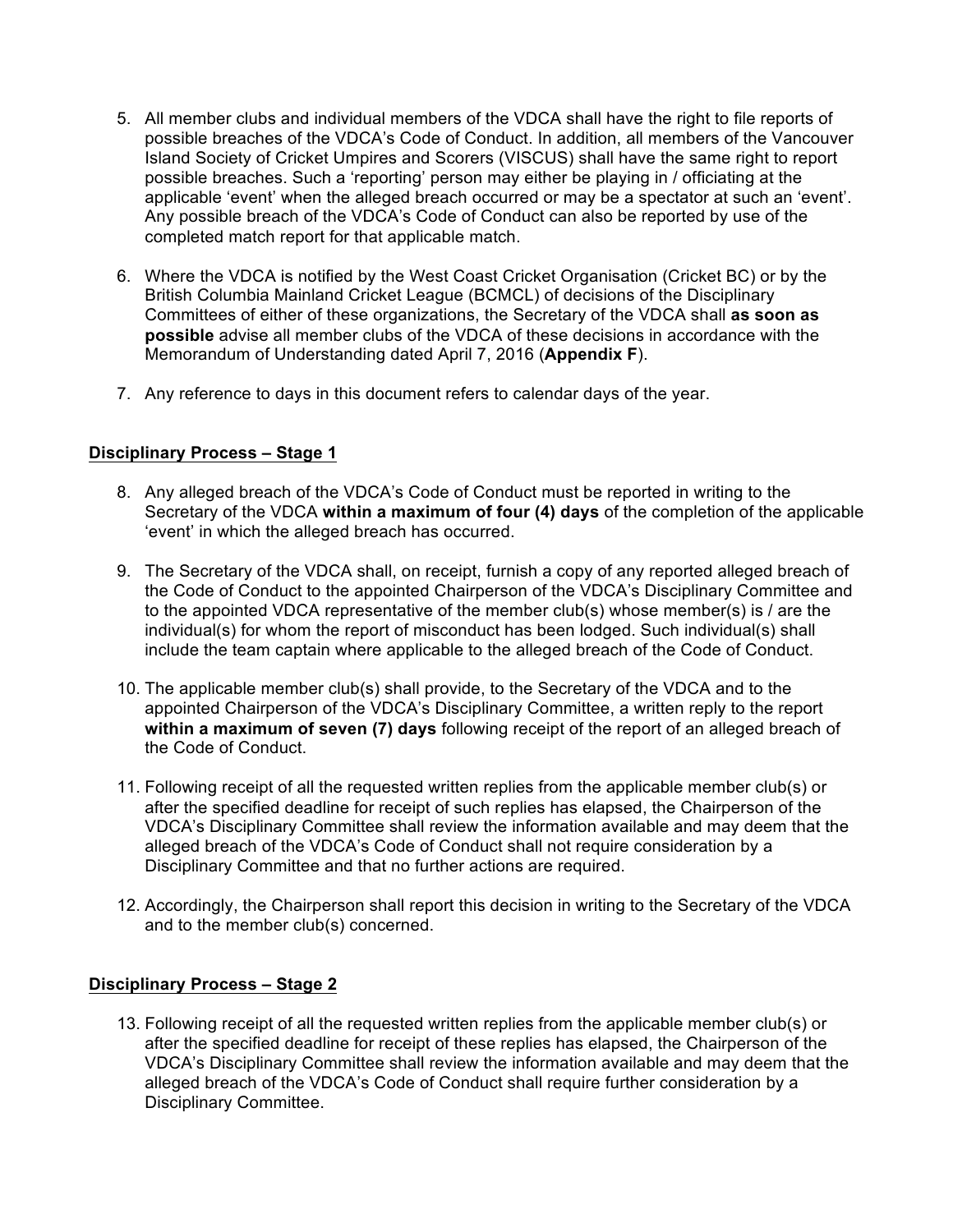- 5. All member clubs and individual members of the VDCA shall have the right to file reports of possible breaches of the VDCA's Code of Conduct. In addition, all members of the Vancouver Island Society of Cricket Umpires and Scorers (VISCUS) shall have the same right to report possible breaches. Such a 'reporting' person may either be playing in / officiating at the applicable 'event' when the alleged breach occurred or may be a spectator at such an 'event'. Any possible breach of the VDCA's Code of Conduct can also be reported by use of the completed match report for that applicable match.
- 6. Where the VDCA is notified by the West Coast Cricket Organisation (Cricket BC) or by the British Columbia Mainland Cricket League (BCMCL) of decisions of the Disciplinary Committees of either of these organizations, the Secretary of the VDCA shall **as soon as possible** advise all member clubs of the VDCA of these decisions in accordance with the Memorandum of Understanding dated April 7, 2016 (**Appendix F**).
- 7. Any reference to days in this document refers to calendar days of the year.

### **Disciplinary Process – Stage 1**

- 8. Any alleged breach of the VDCA's Code of Conduct must be reported in writing to the Secretary of the VDCA **within a maximum of four (4) days** of the completion of the applicable 'event' in which the alleged breach has occurred.
- 9. The Secretary of the VDCA shall, on receipt, furnish a copy of any reported alleged breach of the Code of Conduct to the appointed Chairperson of the VDCA's Disciplinary Committee and to the appointed VDCA representative of the member club(s) whose member(s) is / are the individual(s) for whom the report of misconduct has been lodged. Such individual(s) shall include the team captain where applicable to the alleged breach of the Code of Conduct.
- 10. The applicable member club(s) shall provide, to the Secretary of the VDCA and to the appointed Chairperson of the VDCA's Disciplinary Committee, a written reply to the report **within a maximum of seven (7) days** following receipt of the report of an alleged breach of the Code of Conduct.
- 11. Following receipt of all the requested written replies from the applicable member club(s) or after the specified deadline for receipt of such replies has elapsed, the Chairperson of the VDCA's Disciplinary Committee shall review the information available and may deem that the alleged breach of the VDCA's Code of Conduct shall not require consideration by a Disciplinary Committee and that no further actions are required.
- 12. Accordingly, the Chairperson shall report this decision in writing to the Secretary of the VDCA and to the member club(s) concerned.

#### **Disciplinary Process – Stage 2**

13. Following receipt of all the requested written replies from the applicable member club(s) or after the specified deadline for receipt of these replies has elapsed, the Chairperson of the VDCA's Disciplinary Committee shall review the information available and may deem that the alleged breach of the VDCA's Code of Conduct shall require further consideration by a Disciplinary Committee.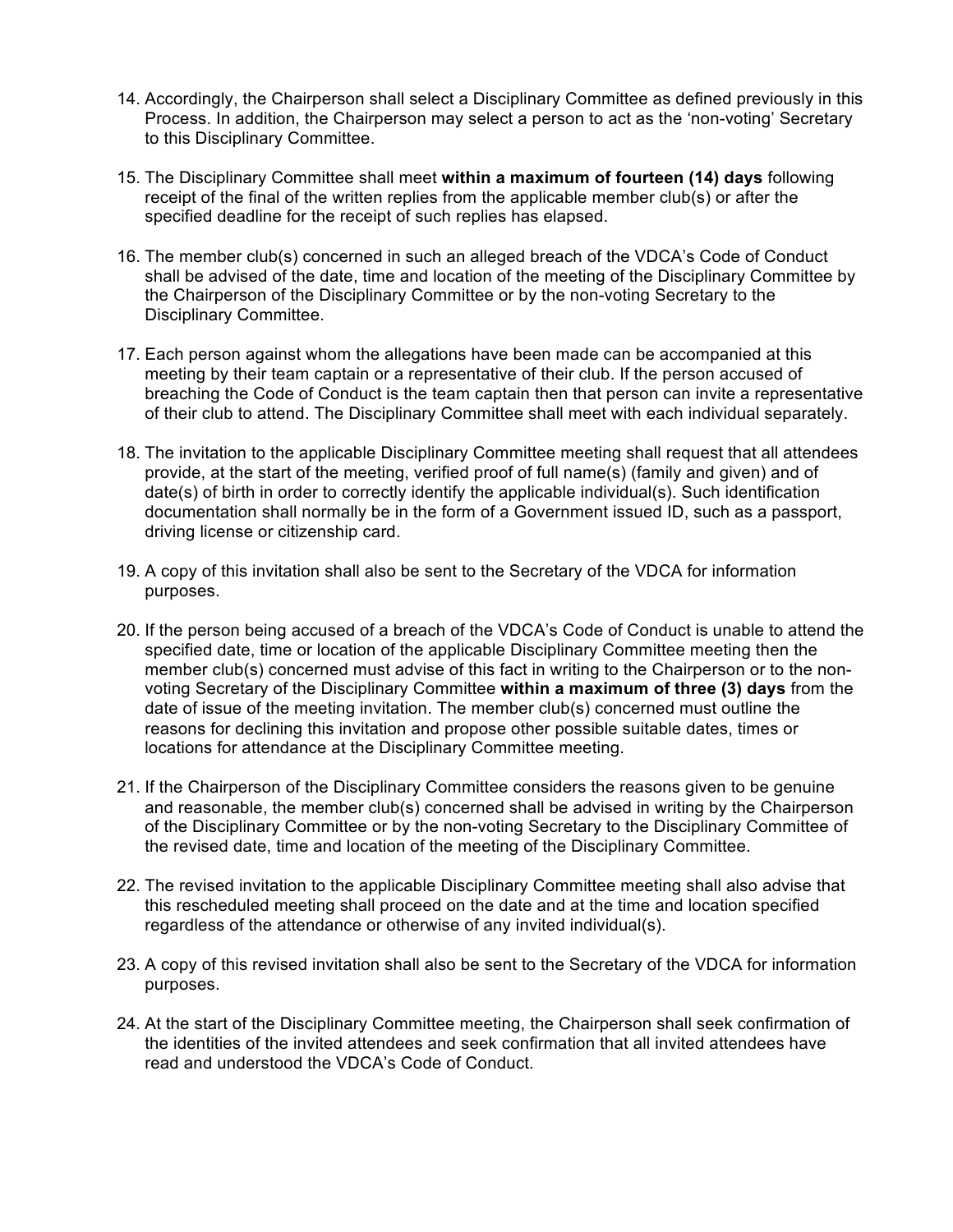- 14. Accordingly, the Chairperson shall select a Disciplinary Committee as defined previously in this Process. In addition, the Chairperson may select a person to act as the 'non-voting' Secretary to this Disciplinary Committee.
- 15. The Disciplinary Committee shall meet **within a maximum of fourteen (14) days** following receipt of the final of the written replies from the applicable member club(s) or after the specified deadline for the receipt of such replies has elapsed.
- 16. The member club(s) concerned in such an alleged breach of the VDCA's Code of Conduct shall be advised of the date, time and location of the meeting of the Disciplinary Committee by the Chairperson of the Disciplinary Committee or by the non-voting Secretary to the Disciplinary Committee.
- 17. Each person against whom the allegations have been made can be accompanied at this meeting by their team captain or a representative of their club. If the person accused of breaching the Code of Conduct is the team captain then that person can invite a representative of their club to attend. The Disciplinary Committee shall meet with each individual separately.
- 18. The invitation to the applicable Disciplinary Committee meeting shall request that all attendees provide, at the start of the meeting, verified proof of full name(s) (family and given) and of date(s) of birth in order to correctly identify the applicable individual(s). Such identification documentation shall normally be in the form of a Government issued ID, such as a passport, driving license or citizenship card.
- 19. A copy of this invitation shall also be sent to the Secretary of the VDCA for information purposes.
- 20. If the person being accused of a breach of the VDCA's Code of Conduct is unable to attend the specified date, time or location of the applicable Disciplinary Committee meeting then the member club(s) concerned must advise of this fact in writing to the Chairperson or to the nonvoting Secretary of the Disciplinary Committee **within a maximum of three (3) days** from the date of issue of the meeting invitation. The member club(s) concerned must outline the reasons for declining this invitation and propose other possible suitable dates, times or locations for attendance at the Disciplinary Committee meeting.
- 21. If the Chairperson of the Disciplinary Committee considers the reasons given to be genuine and reasonable, the member club(s) concerned shall be advised in writing by the Chairperson of the Disciplinary Committee or by the non-voting Secretary to the Disciplinary Committee of the revised date, time and location of the meeting of the Disciplinary Committee.
- 22. The revised invitation to the applicable Disciplinary Committee meeting shall also advise that this rescheduled meeting shall proceed on the date and at the time and location specified regardless of the attendance or otherwise of any invited individual(s).
- 23. A copy of this revised invitation shall also be sent to the Secretary of the VDCA for information purposes.
- 24. At the start of the Disciplinary Committee meeting, the Chairperson shall seek confirmation of the identities of the invited attendees and seek confirmation that all invited attendees have read and understood the VDCA's Code of Conduct.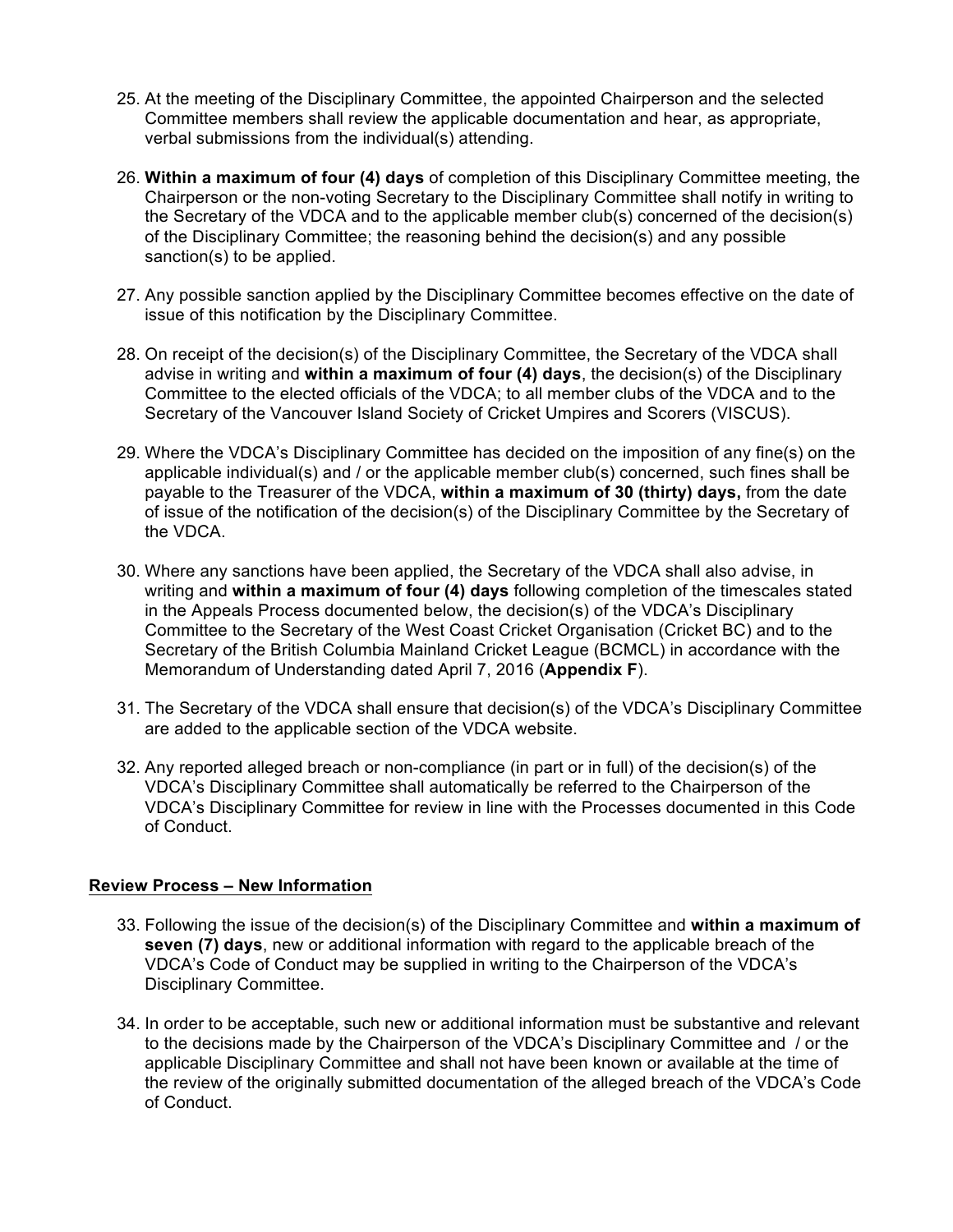- 25. At the meeting of the Disciplinary Committee, the appointed Chairperson and the selected Committee members shall review the applicable documentation and hear, as appropriate, verbal submissions from the individual(s) attending.
- 26. **Within a maximum of four (4) days** of completion of this Disciplinary Committee meeting, the Chairperson or the non-voting Secretary to the Disciplinary Committee shall notify in writing to the Secretary of the VDCA and to the applicable member club(s) concerned of the decision(s) of the Disciplinary Committee; the reasoning behind the decision(s) and any possible sanction(s) to be applied.
- 27. Any possible sanction applied by the Disciplinary Committee becomes effective on the date of issue of this notification by the Disciplinary Committee.
- 28. On receipt of the decision(s) of the Disciplinary Committee, the Secretary of the VDCA shall advise in writing and **within a maximum of four (4) days**, the decision(s) of the Disciplinary Committee to the elected officials of the VDCA; to all member clubs of the VDCA and to the Secretary of the Vancouver Island Society of Cricket Umpires and Scorers (VISCUS).
- 29. Where the VDCA's Disciplinary Committee has decided on the imposition of any fine(s) on the applicable individual(s) and / or the applicable member club(s) concerned, such fines shall be payable to the Treasurer of the VDCA, **within a maximum of 30 (thirty) days,** from the date of issue of the notification of the decision(s) of the Disciplinary Committee by the Secretary of the VDCA.
- 30. Where any sanctions have been applied, the Secretary of the VDCA shall also advise, in writing and **within a maximum of four (4) days** following completion of the timescales stated in the Appeals Process documented below, the decision(s) of the VDCA's Disciplinary Committee to the Secretary of the West Coast Cricket Organisation (Cricket BC) and to the Secretary of the British Columbia Mainland Cricket League (BCMCL) in accordance with the Memorandum of Understanding dated April 7, 2016 (**Appendix F**).
- 31. The Secretary of the VDCA shall ensure that decision(s) of the VDCA's Disciplinary Committee are added to the applicable section of the VDCA website.
- 32. Any reported alleged breach or non-compliance (in part or in full) of the decision(s) of the VDCA's Disciplinary Committee shall automatically be referred to the Chairperson of the VDCA's Disciplinary Committee for review in line with the Processes documented in this Code of Conduct.

### **Review Process – New Information**

- 33. Following the issue of the decision(s) of the Disciplinary Committee and **within a maximum of seven (7) days**, new or additional information with regard to the applicable breach of the VDCA's Code of Conduct may be supplied in writing to the Chairperson of the VDCA's Disciplinary Committee.
- 34. In order to be acceptable, such new or additional information must be substantive and relevant to the decisions made by the Chairperson of the VDCA's Disciplinary Committee and / or the applicable Disciplinary Committee and shall not have been known or available at the time of the review of the originally submitted documentation of the alleged breach of the VDCA's Code of Conduct.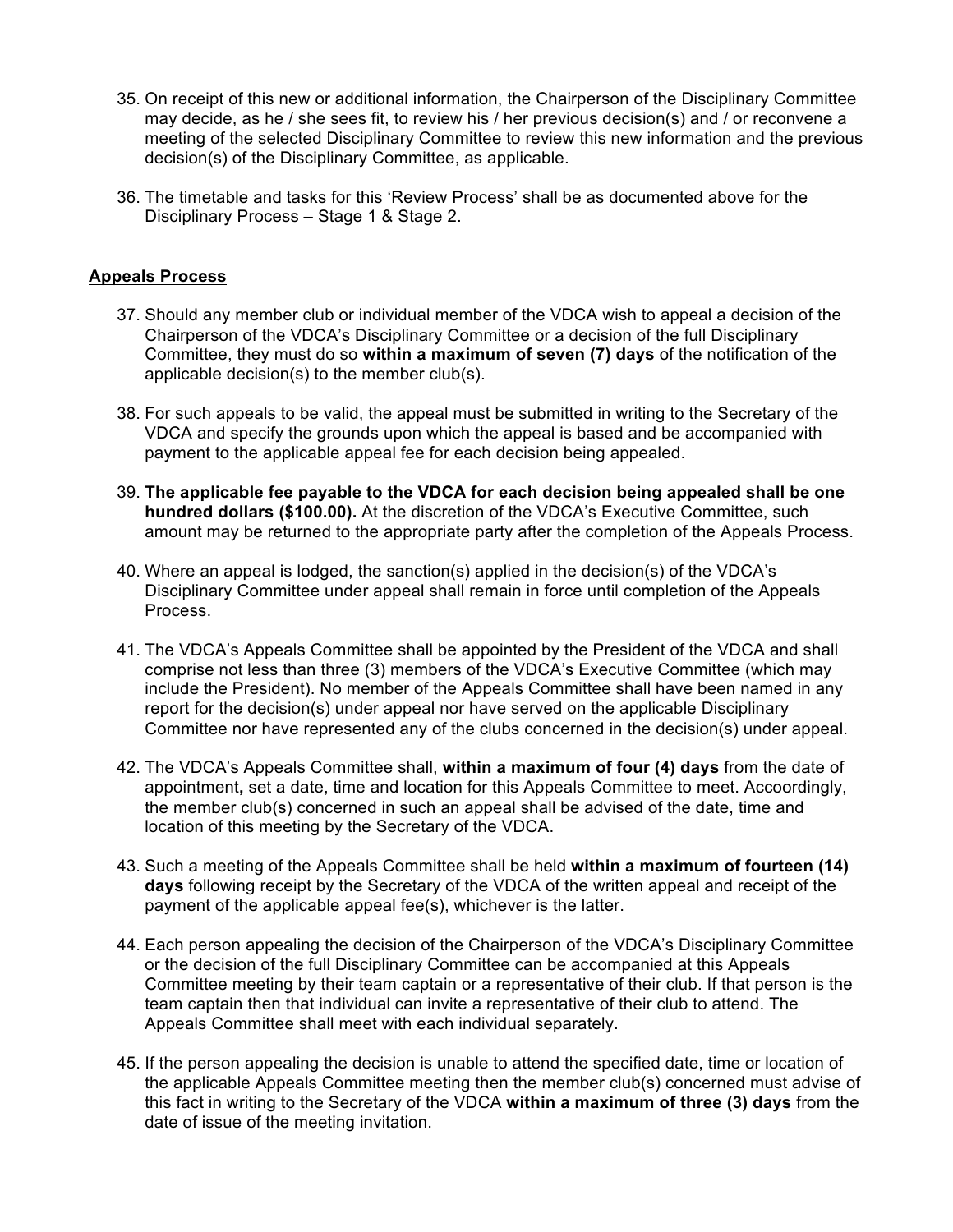- 35. On receipt of this new or additional information, the Chairperson of the Disciplinary Committee may decide, as he / she sees fit, to review his / her previous decision(s) and / or reconvene a meeting of the selected Disciplinary Committee to review this new information and the previous decision(s) of the Disciplinary Committee, as applicable.
- 36. The timetable and tasks for this 'Review Process' shall be as documented above for the Disciplinary Process – Stage 1 & Stage 2.

#### **Appeals Process**

- 37. Should any member club or individual member of the VDCA wish to appeal a decision of the Chairperson of the VDCA's Disciplinary Committee or a decision of the full Disciplinary Committee, they must do so **within a maximum of seven (7) days** of the notification of the applicable decision(s) to the member club(s).
- 38. For such appeals to be valid, the appeal must be submitted in writing to the Secretary of the VDCA and specify the grounds upon which the appeal is based and be accompanied with payment to the applicable appeal fee for each decision being appealed.
- 39. **The applicable fee payable to the VDCA for each decision being appealed shall be one hundred dollars (\$100.00).** At the discretion of the VDCA's Executive Committee, such amount may be returned to the appropriate party after the completion of the Appeals Process.
- 40. Where an appeal is lodged, the sanction(s) applied in the decision(s) of the VDCA's Disciplinary Committee under appeal shall remain in force until completion of the Appeals Process.
- 41. The VDCA's Appeals Committee shall be appointed by the President of the VDCA and shall comprise not less than three (3) members of the VDCA's Executive Committee (which may include the President). No member of the Appeals Committee shall have been named in any report for the decision(s) under appeal nor have served on the applicable Disciplinary Committee nor have represented any of the clubs concerned in the decision(s) under appeal.
- 42. The VDCA's Appeals Committee shall, **within a maximum of four (4) days** from the date of appointment**,** set a date, time and location for this Appeals Committee to meet. Accoordingly, the member club(s) concerned in such an appeal shall be advised of the date, time and location of this meeting by the Secretary of the VDCA.
- 43. Such a meeting of the Appeals Committee shall be held **within a maximum of fourteen (14) days** following receipt by the Secretary of the VDCA of the written appeal and receipt of the payment of the applicable appeal fee(s), whichever is the latter.
- 44. Each person appealing the decision of the Chairperson of the VDCA's Disciplinary Committee or the decision of the full Disciplinary Committee can be accompanied at this Appeals Committee meeting by their team captain or a representative of their club. If that person is the team captain then that individual can invite a representative of their club to attend. The Appeals Committee shall meet with each individual separately.
- 45. If the person appealing the decision is unable to attend the specified date, time or location of the applicable Appeals Committee meeting then the member club(s) concerned must advise of this fact in writing to the Secretary of the VDCA **within a maximum of three (3) days** from the date of issue of the meeting invitation.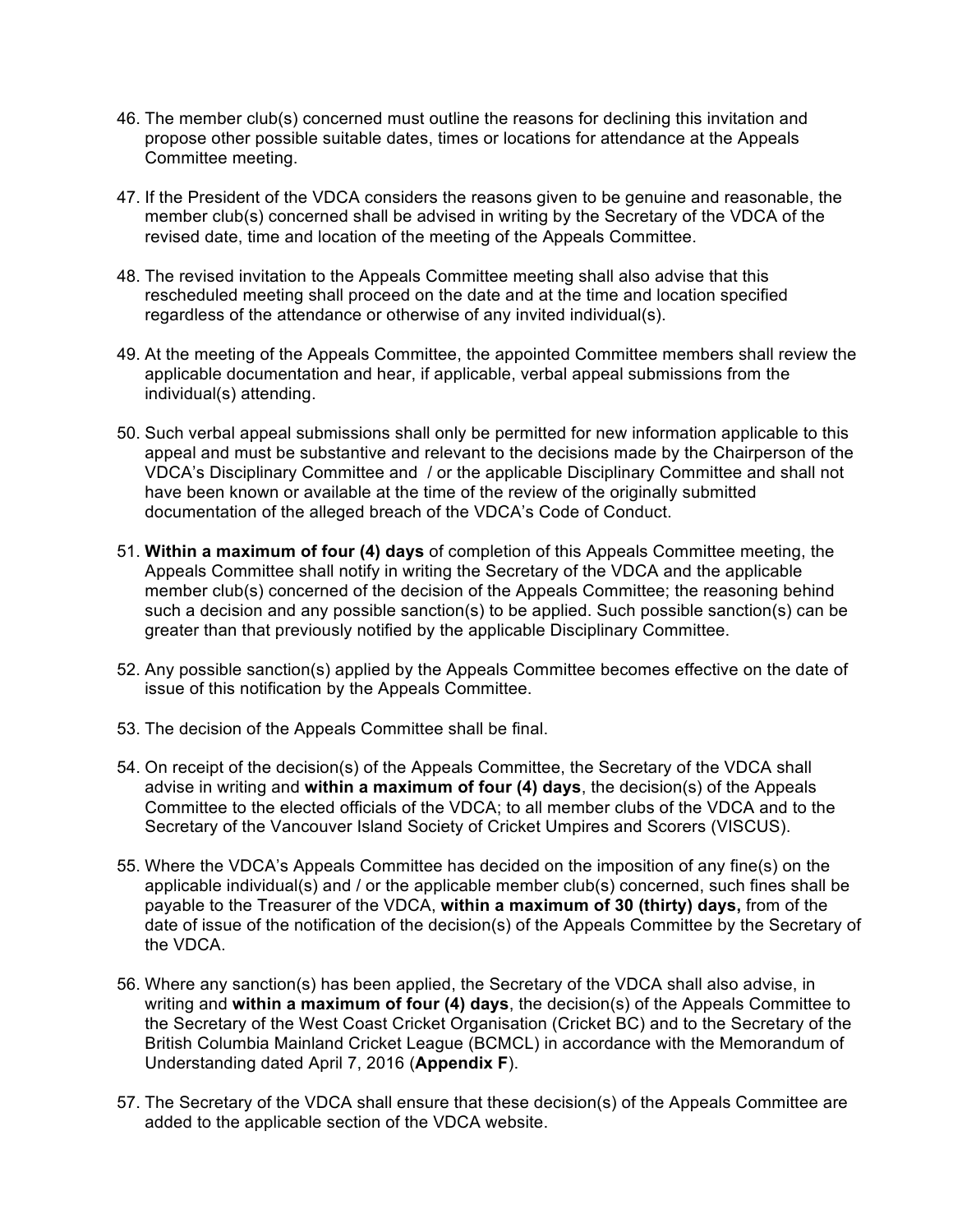- 46. The member club(s) concerned must outline the reasons for declining this invitation and propose other possible suitable dates, times or locations for attendance at the Appeals Committee meeting.
- 47. If the President of the VDCA considers the reasons given to be genuine and reasonable, the member club(s) concerned shall be advised in writing by the Secretary of the VDCA of the revised date, time and location of the meeting of the Appeals Committee.
- 48. The revised invitation to the Appeals Committee meeting shall also advise that this rescheduled meeting shall proceed on the date and at the time and location specified regardless of the attendance or otherwise of any invited individual(s).
- 49. At the meeting of the Appeals Committee, the appointed Committee members shall review the applicable documentation and hear, if applicable, verbal appeal submissions from the individual(s) attending.
- 50. Such verbal appeal submissions shall only be permitted for new information applicable to this appeal and must be substantive and relevant to the decisions made by the Chairperson of the VDCA's Disciplinary Committee and / or the applicable Disciplinary Committee and shall not have been known or available at the time of the review of the originally submitted documentation of the alleged breach of the VDCA's Code of Conduct.
- 51. **Within a maximum of four (4) days** of completion of this Appeals Committee meeting, the Appeals Committee shall notify in writing the Secretary of the VDCA and the applicable member club(s) concerned of the decision of the Appeals Committee; the reasoning behind such a decision and any possible sanction(s) to be applied. Such possible sanction(s) can be greater than that previously notified by the applicable Disciplinary Committee.
- 52. Any possible sanction(s) applied by the Appeals Committee becomes effective on the date of issue of this notification by the Appeals Committee.
- 53. The decision of the Appeals Committee shall be final.
- 54. On receipt of the decision(s) of the Appeals Committee, the Secretary of the VDCA shall advise in writing and **within a maximum of four (4) days**, the decision(s) of the Appeals Committee to the elected officials of the VDCA; to all member clubs of the VDCA and to the Secretary of the Vancouver Island Society of Cricket Umpires and Scorers (VISCUS).
- 55. Where the VDCA's Appeals Committee has decided on the imposition of any fine(s) on the applicable individual(s) and / or the applicable member club(s) concerned, such fines shall be payable to the Treasurer of the VDCA, **within a maximum of 30 (thirty) days,** from of the date of issue of the notification of the decision(s) of the Appeals Committee by the Secretary of the VDCA.
- 56. Where any sanction(s) has been applied, the Secretary of the VDCA shall also advise, in writing and **within a maximum of four (4) days**, the decision(s) of the Appeals Committee to the Secretary of the West Coast Cricket Organisation (Cricket BC) and to the Secretary of the British Columbia Mainland Cricket League (BCMCL) in accordance with the Memorandum of Understanding dated April 7, 2016 (**Appendix F**).
- 57. The Secretary of the VDCA shall ensure that these decision(s) of the Appeals Committee are added to the applicable section of the VDCA website.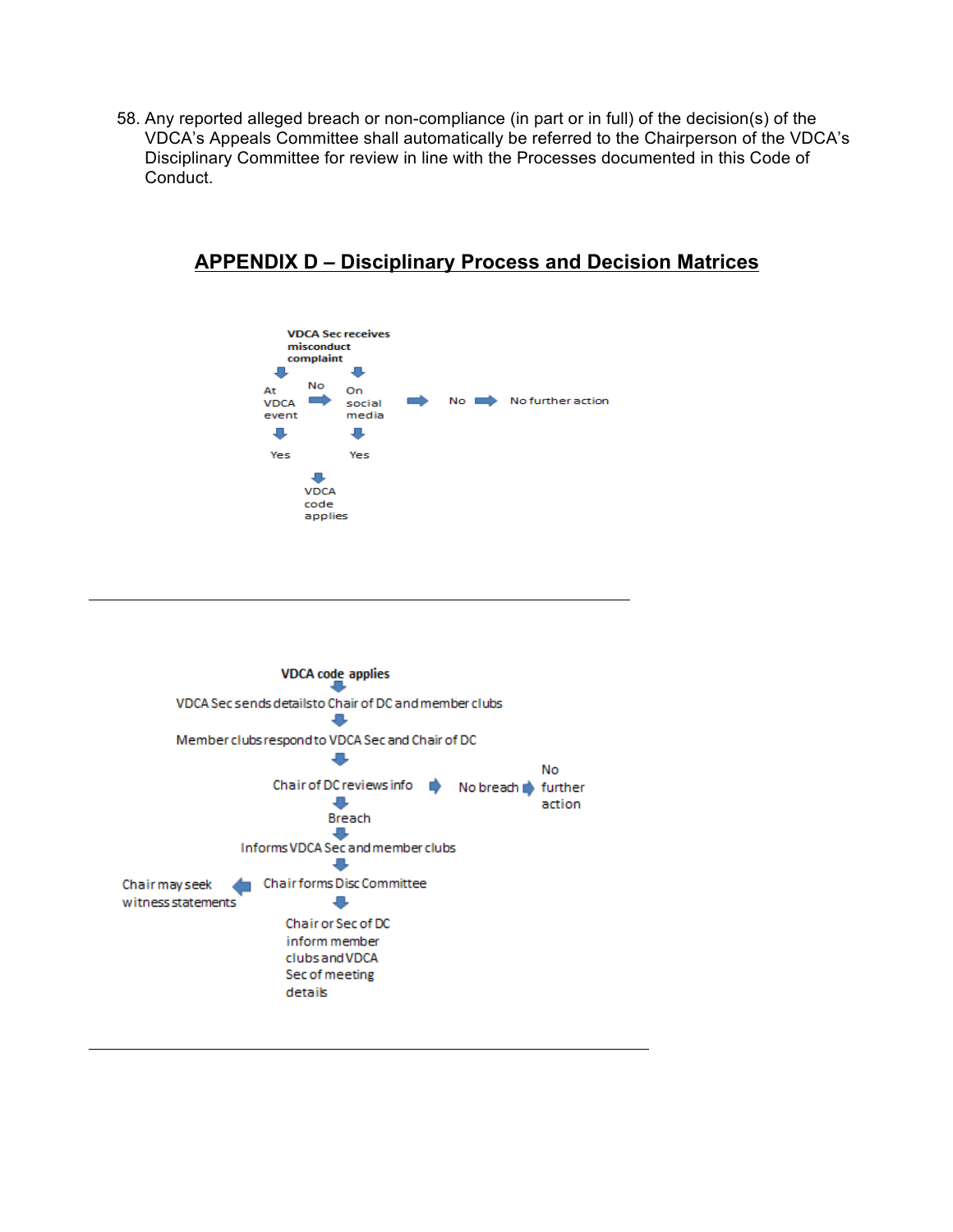58. Any reported alleged breach or non-compliance (in part or in full) of the decision(s) of the VDCA's Appeals Committee shall automatically be referred to the Chairperson of the VDCA's Disciplinary Committee for review in line with the Processes documented in this Code of Conduct.

## **APPENDIX D – Disciplinary Process and Decision Matrices**



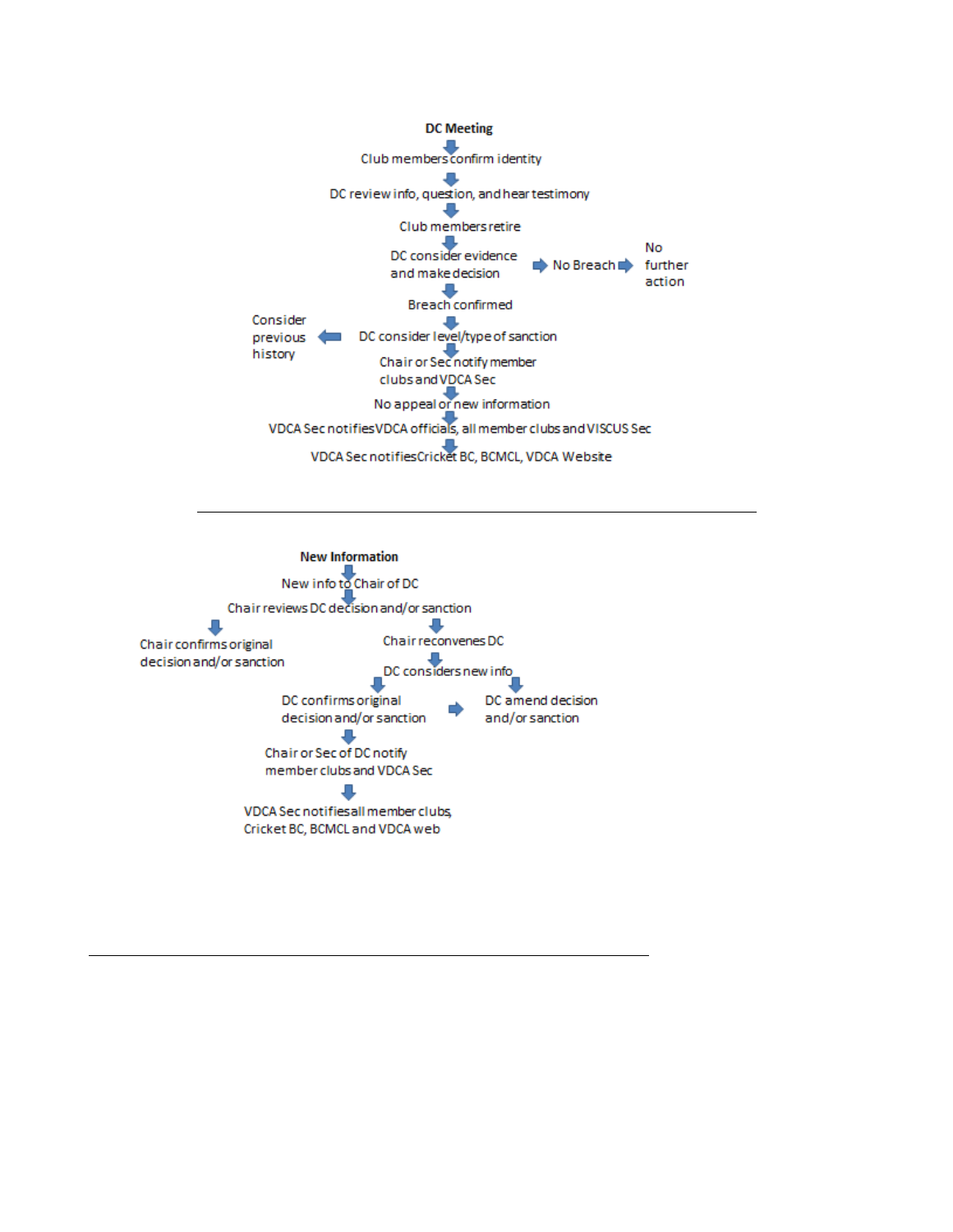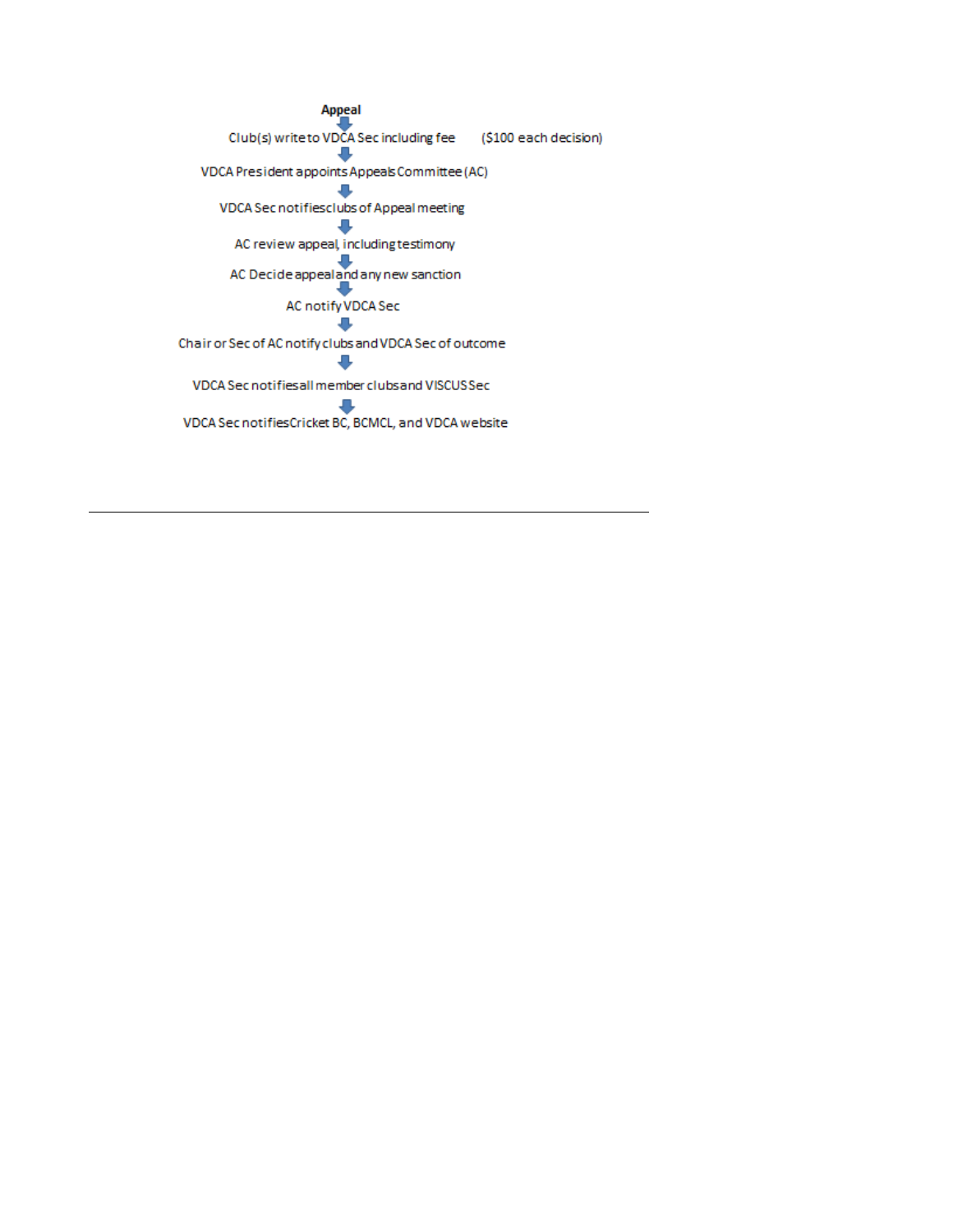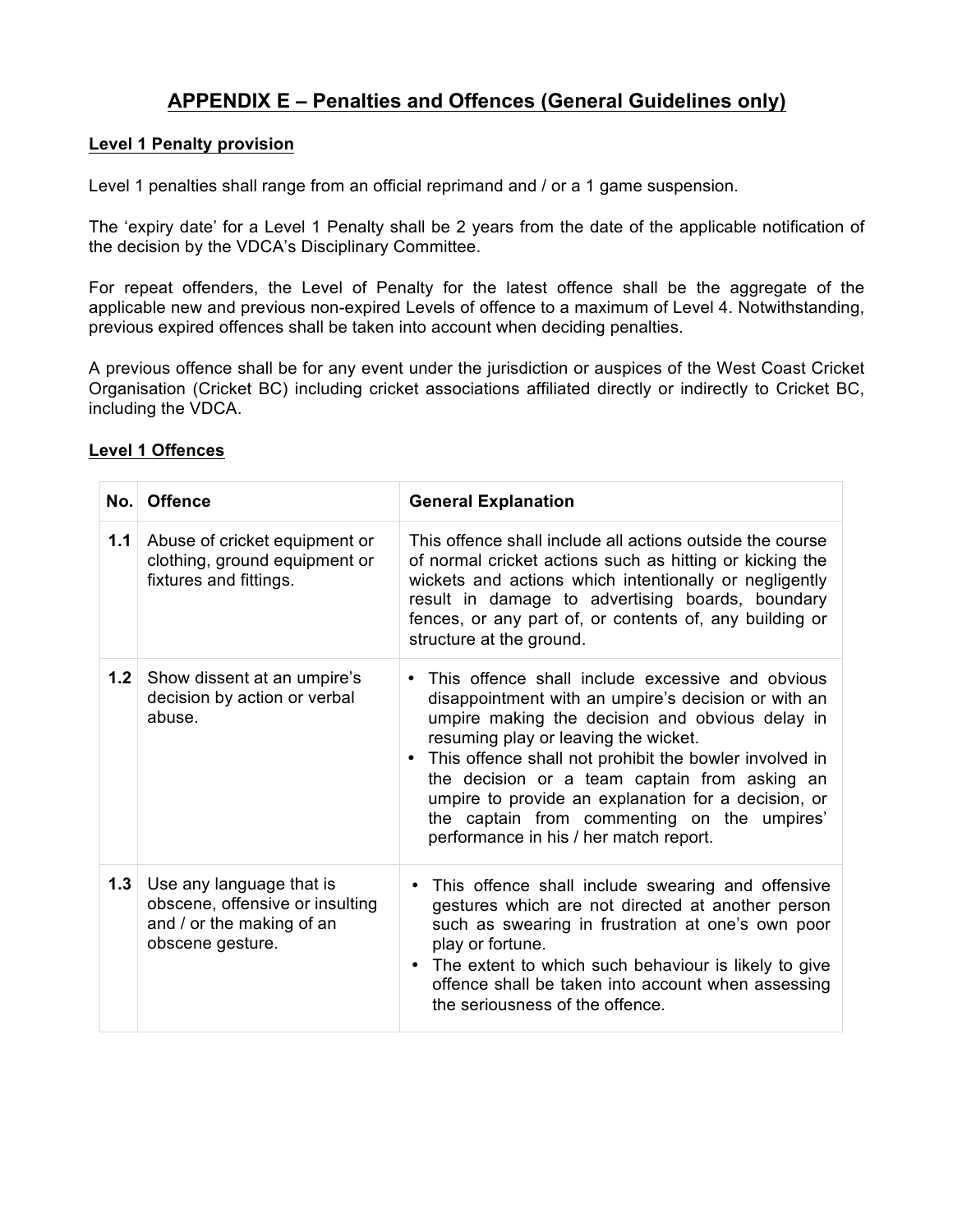## **APPENDIX E – Penalties and Offences (General Guidelines only)**

#### **Level 1 Penalty provision**

Level 1 penalties shall range from an official reprimand and / or a 1 game suspension.

The 'expiry date' for a Level 1 Penalty shall be 2 years from the date of the applicable notification of the decision by the VDCA's Disciplinary Committee.

For repeat offenders, the Level of Penalty for the latest offence shall be the aggregate of the applicable new and previous non-expired Levels of offence to a maximum of Level 4. Notwithstanding, previous expired offences shall be taken into account when deciding penalties.

A previous offence shall be for any event under the jurisdiction or auspices of the West Coast Cricket Organisation (Cricket BC) including cricket associations affiliated directly or indirectly to Cricket BC, including the VDCA.

|     | No. Offence                                                                                                  | <b>General Explanation</b>                                                                                                                                                                                                                                                                                                                                                                                                                                                              |  |
|-----|--------------------------------------------------------------------------------------------------------------|-----------------------------------------------------------------------------------------------------------------------------------------------------------------------------------------------------------------------------------------------------------------------------------------------------------------------------------------------------------------------------------------------------------------------------------------------------------------------------------------|--|
| 1.1 | Abuse of cricket equipment or<br>clothing, ground equipment or<br>fixtures and fittings.                     | This offence shall include all actions outside the course<br>of normal cricket actions such as hitting or kicking the<br>wickets and actions which intentionally or negligently<br>result in damage to advertising boards, boundary<br>fences, or any part of, or contents of, any building or<br>structure at the ground.                                                                                                                                                              |  |
| 1.2 | Show dissent at an umpire's<br>decision by action or verbal<br>abuse.                                        | This offence shall include excessive and obvious<br>$\bullet$<br>disappointment with an umpire's decision or with an<br>umpire making the decision and obvious delay in<br>resuming play or leaving the wicket.<br>This offence shall not prohibit the bowler involved in<br>$\bullet$<br>the decision or a team captain from asking an<br>umpire to provide an explanation for a decision, or<br>the captain from commenting on the umpires'<br>performance in his / her match report. |  |
| 1.3 | Use any language that is<br>obscene, offensive or insulting<br>and / or the making of an<br>obscene gesture. | This offence shall include swearing and offensive<br>gestures which are not directed at another person<br>such as swearing in frustration at one's own poor<br>play or fortune.<br>The extent to which such behaviour is likely to give<br>offence shall be taken into account when assessing<br>the seriousness of the offence.                                                                                                                                                        |  |

### **Level 1 Offences**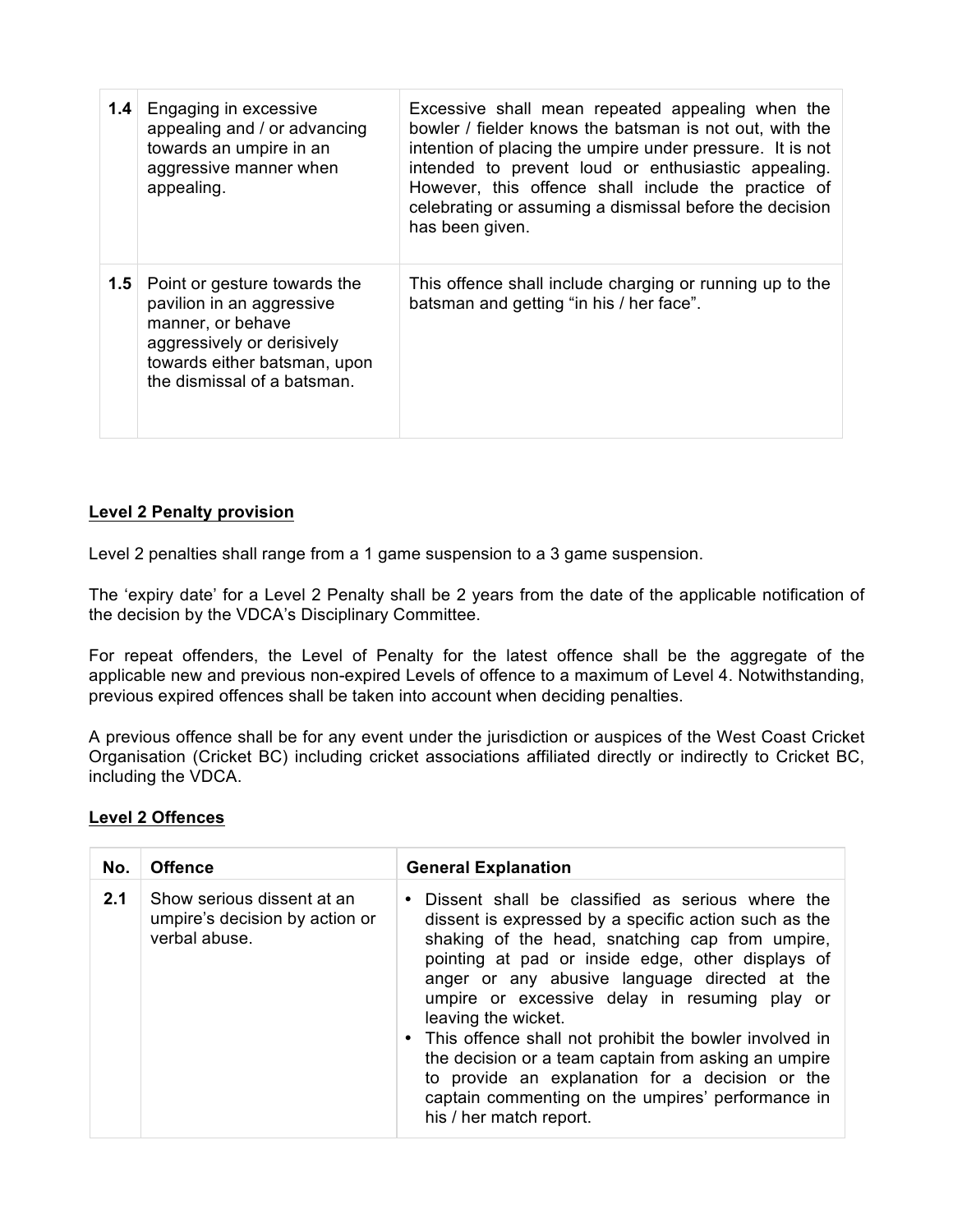| 1.4 | Engaging in excessive<br>appealing and / or advancing<br>towards an umpire in an<br>aggressive manner when<br>appealing.                                                    | Excessive shall mean repeated appealing when the<br>bowler / fielder knows the batsman is not out, with the<br>intention of placing the umpire under pressure. It is not<br>intended to prevent loud or enthusiastic appealing.<br>However, this offence shall include the practice of<br>celebrating or assuming a dismissal before the decision<br>has been given. |
|-----|-----------------------------------------------------------------------------------------------------------------------------------------------------------------------------|----------------------------------------------------------------------------------------------------------------------------------------------------------------------------------------------------------------------------------------------------------------------------------------------------------------------------------------------------------------------|
| 1.5 | Point or gesture towards the<br>pavilion in an aggressive<br>manner, or behave<br>aggressively or derisively<br>towards either batsman, upon<br>the dismissal of a batsman. | This offence shall include charging or running up to the<br>batsman and getting "in his / her face".                                                                                                                                                                                                                                                                 |

## **Level 2 Penalty provision**

Level 2 penalties shall range from a 1 game suspension to a 3 game suspension.

The 'expiry date' for a Level 2 Penalty shall be 2 years from the date of the applicable notification of the decision by the VDCA's Disciplinary Committee.

For repeat offenders, the Level of Penalty for the latest offence shall be the aggregate of the applicable new and previous non-expired Levels of offence to a maximum of Level 4. Notwithstanding, previous expired offences shall be taken into account when deciding penalties.

A previous offence shall be for any event under the jurisdiction or auspices of the West Coast Cricket Organisation (Cricket BC) including cricket associations affiliated directly or indirectly to Cricket BC, including the VDCA.

### **Level 2 Offences**

| No. | <b>Offence</b>                                                                | <b>General Explanation</b>                                                                                                                                                                                                                                                                                                                                                                                                                                                                                                                                                                                     |  |
|-----|-------------------------------------------------------------------------------|----------------------------------------------------------------------------------------------------------------------------------------------------------------------------------------------------------------------------------------------------------------------------------------------------------------------------------------------------------------------------------------------------------------------------------------------------------------------------------------------------------------------------------------------------------------------------------------------------------------|--|
| 2.1 | Show serious dissent at an<br>umpire's decision by action or<br>verbal abuse. | Dissent shall be classified as serious where the<br>$\bullet$<br>dissent is expressed by a specific action such as the<br>shaking of the head, snatching cap from umpire,<br>pointing at pad or inside edge, other displays of<br>anger or any abusive language directed at the<br>umpire or excessive delay in resuming play or<br>leaving the wicket.<br>• This offence shall not prohibit the bowler involved in<br>the decision or a team captain from asking an umpire<br>to provide an explanation for a decision or the<br>captain commenting on the umpires' performance in<br>his / her match report. |  |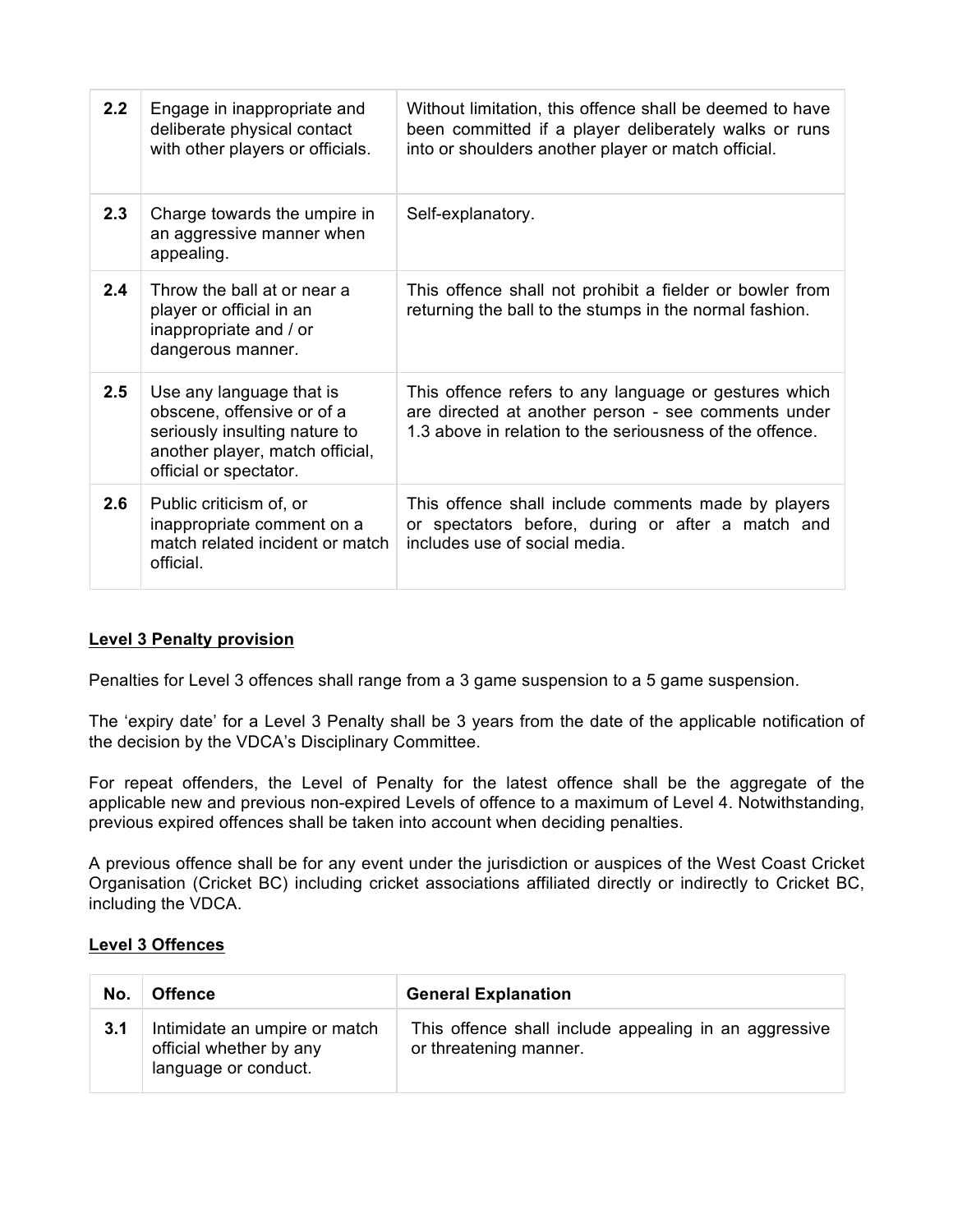| 2.2 | Engage in inappropriate and<br>deliberate physical contact<br>with other players or officials.                                                       | Without limitation, this offence shall be deemed to have<br>been committed if a player deliberately walks or runs<br>into or shoulders another player or match official. |
|-----|------------------------------------------------------------------------------------------------------------------------------------------------------|--------------------------------------------------------------------------------------------------------------------------------------------------------------------------|
| 2.3 | Charge towards the umpire in<br>an aggressive manner when<br>appealing.                                                                              | Self-explanatory.                                                                                                                                                        |
| 2.4 | Throw the ball at or near a<br>player or official in an<br>inappropriate and / or<br>dangerous manner.                                               | This offence shall not prohibit a fielder or bowler from<br>returning the ball to the stumps in the normal fashion.                                                      |
| 2.5 | Use any language that is<br>obscene, offensive or of a<br>seriously insulting nature to<br>another player, match official,<br>official or spectator. | This offence refers to any language or gestures which<br>are directed at another person - see comments under<br>1.3 above in relation to the seriousness of the offence. |
| 2.6 | Public criticism of, or<br>inappropriate comment on a<br>match related incident or match<br>official.                                                | This offence shall include comments made by players<br>or spectators before, during or after a match and<br>includes use of social media.                                |

### **Level 3 Penalty provision**

Penalties for Level 3 offences shall range from a 3 game suspension to a 5 game suspension.

The 'expiry date' for a Level 3 Penalty shall be 3 years from the date of the applicable notification of the decision by the VDCA's Disciplinary Committee.

For repeat offenders, the Level of Penalty for the latest offence shall be the aggregate of the applicable new and previous non-expired Levels of offence to a maximum of Level 4. Notwithstanding, previous expired offences shall be taken into account when deciding penalties.

A previous offence shall be for any event under the jurisdiction or auspices of the West Coast Cricket Organisation (Cricket BC) including cricket associations affiliated directly or indirectly to Cricket BC, including the VDCA.

### **Level 3 Offences**

| No. | <b>Offence</b>                                                                   | <b>General Explanation</b>                                                      |
|-----|----------------------------------------------------------------------------------|---------------------------------------------------------------------------------|
| 3.1 | Intimidate an umpire or match<br>official whether by any<br>language or conduct. | This offence shall include appealing in an aggressive<br>or threatening manner. |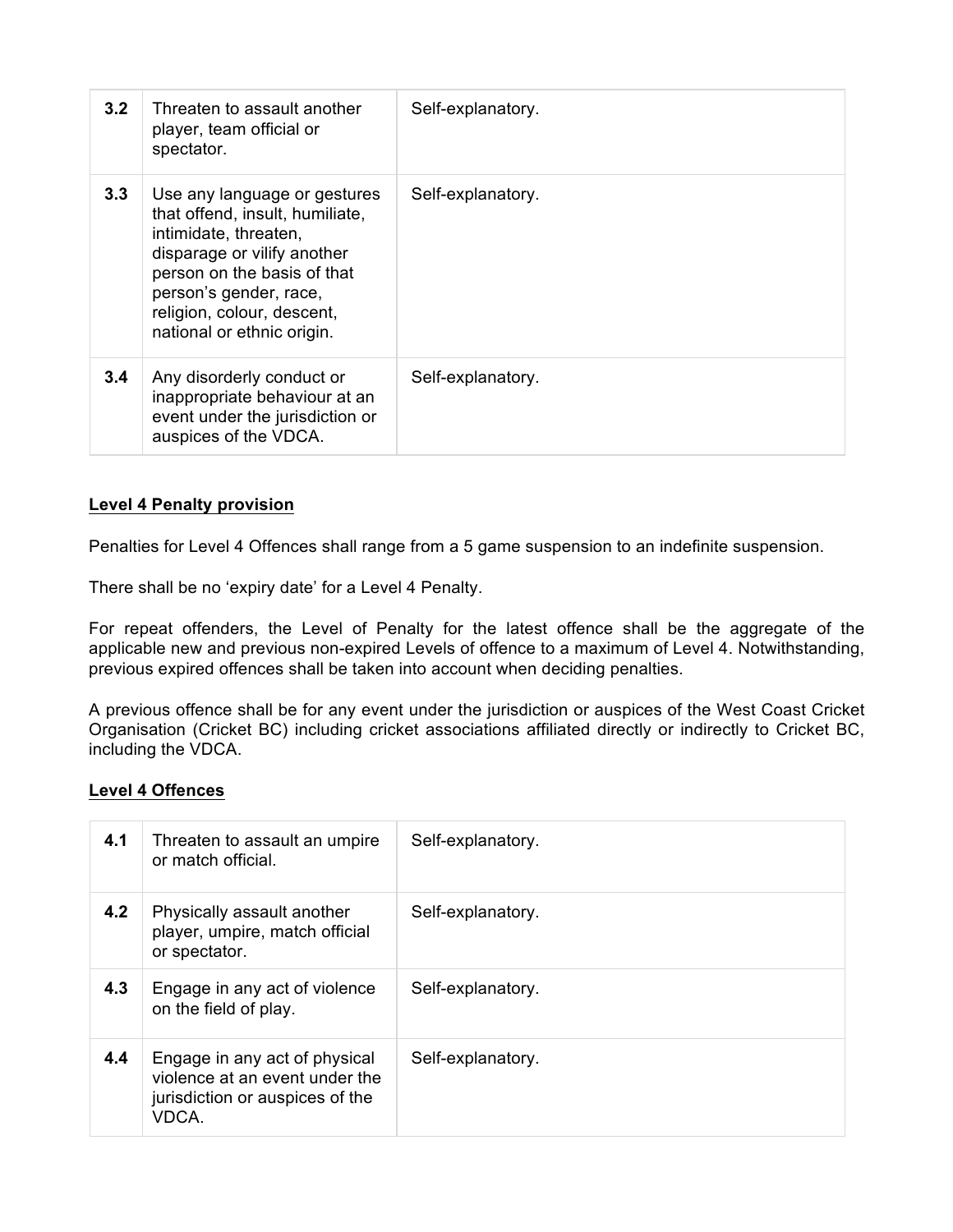| 3.2              | Threaten to assault another<br>player, team official or<br>spectator.                                                                                                                                                                        | Self-explanatory. |
|------------------|----------------------------------------------------------------------------------------------------------------------------------------------------------------------------------------------------------------------------------------------|-------------------|
| 3.3 <sub>1</sub> | Use any language or gestures<br>that offend, insult, humiliate,<br>intimidate, threaten,<br>disparage or vilify another<br>person on the basis of that<br>person's gender, race,<br>religion, colour, descent,<br>national or ethnic origin. | Self-explanatory. |
| 3.4              | Any disorderly conduct or<br>inappropriate behaviour at an<br>event under the jurisdiction or<br>auspices of the VDCA.                                                                                                                       | Self-explanatory. |

### **Level 4 Penalty provision**

Penalties for Level 4 Offences shall range from a 5 game suspension to an indefinite suspension.

There shall be no 'expiry date' for a Level 4 Penalty.

For repeat offenders, the Level of Penalty for the latest offence shall be the aggregate of the applicable new and previous non-expired Levels of offence to a maximum of Level 4. Notwithstanding, previous expired offences shall be taken into account when deciding penalties.

A previous offence shall be for any event under the jurisdiction or auspices of the West Coast Cricket Organisation (Cricket BC) including cricket associations affiliated directly or indirectly to Cricket BC, including the VDCA.

### **Level 4 Offences**

| 4.1 | Threaten to assault an umpire<br>or match official.                                                         | Self-explanatory. |
|-----|-------------------------------------------------------------------------------------------------------------|-------------------|
| 4.2 | Physically assault another<br>player, umpire, match official<br>or spectator.                               | Self-explanatory. |
| 4.3 | Engage in any act of violence<br>on the field of play.                                                      | Self-explanatory. |
| 4.4 | Engage in any act of physical<br>violence at an event under the<br>jurisdiction or auspices of the<br>VDCA. | Self-explanatory. |